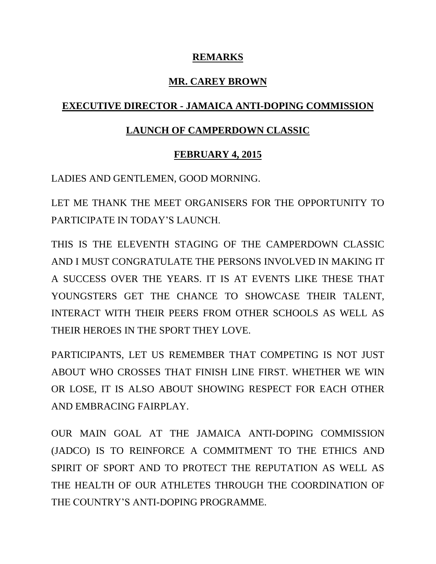#### **REMARKS**

## **MR. CAREY BROWN**

### **EXECUTIVE DIRECTOR - JAMAICA ANTI-DOPING COMMISSION**

#### **LAUNCH OF CAMPERDOWN CLASSIC**

#### **FEBRUARY 4, 2015**

LADIES AND GENTLEMEN, GOOD MORNING.

LET ME THANK THE MEET ORGANISERS FOR THE OPPORTUNITY TO PARTICIPATE IN TODAY'S LAUNCH.

THIS IS THE ELEVENTH STAGING OF THE CAMPERDOWN CLASSIC AND I MUST CONGRATULATE THE PERSONS INVOLVED IN MAKING IT A SUCCESS OVER THE YEARS. IT IS AT EVENTS LIKE THESE THAT YOUNGSTERS GET THE CHANCE TO SHOWCASE THEIR TALENT, INTERACT WITH THEIR PEERS FROM OTHER SCHOOLS AS WELL AS THEIR HEROES IN THE SPORT THEY LOVE.

PARTICIPANTS, LET US REMEMBER THAT COMPETING IS NOT JUST ABOUT WHO CROSSES THAT FINISH LINE FIRST. WHETHER WE WIN OR LOSE, IT IS ALSO ABOUT SHOWING RESPECT FOR EACH OTHER AND EMBRACING FAIRPLAY.

OUR MAIN GOAL AT THE JAMAICA ANTI-DOPING COMMISSION (JADCO) IS TO REINFORCE A COMMITMENT TO THE ETHICS AND SPIRIT OF SPORT AND TO PROTECT THE REPUTATION AS WELL AS THE HEALTH OF OUR ATHLETES THROUGH THE COORDINATION OF THE COUNTRY'S ANTI-DOPING PROGRAMME.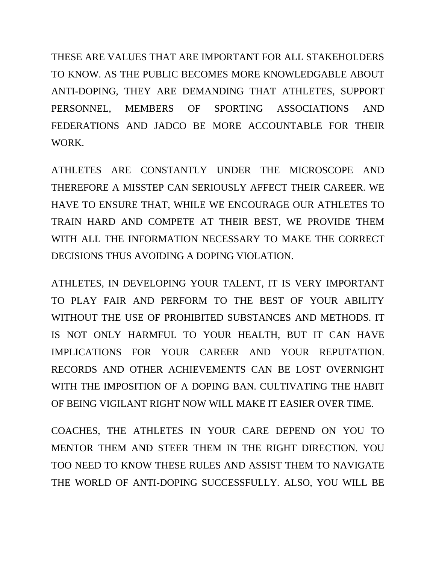THESE ARE VALUES THAT ARE IMPORTANT FOR ALL STAKEHOLDERS TO KNOW. AS THE PUBLIC BECOMES MORE KNOWLEDGABLE ABOUT ANTI-DOPING, THEY ARE DEMANDING THAT ATHLETES, SUPPORT PERSONNEL, MEMBERS OF SPORTING ASSOCIATIONS AND FEDERATIONS AND JADCO BE MORE ACCOUNTABLE FOR THEIR WORK.

ATHLETES ARE CONSTANTLY UNDER THE MICROSCOPE AND THEREFORE A MISSTEP CAN SERIOUSLY AFFECT THEIR CAREER. WE HAVE TO ENSURE THAT, WHILE WE ENCOURAGE OUR ATHLETES TO TRAIN HARD AND COMPETE AT THEIR BEST, WE PROVIDE THEM WITH ALL THE INFORMATION NECESSARY TO MAKE THE CORRECT DECISIONS THUS AVOIDING A DOPING VIOLATION.

ATHLETES, IN DEVELOPING YOUR TALENT, IT IS VERY IMPORTANT TO PLAY FAIR AND PERFORM TO THE BEST OF YOUR ABILITY WITHOUT THE USE OF PROHIBITED SUBSTANCES AND METHODS. IT IS NOT ONLY HARMFUL TO YOUR HEALTH, BUT IT CAN HAVE IMPLICATIONS FOR YOUR CAREER AND YOUR REPUTATION. RECORDS AND OTHER ACHIEVEMENTS CAN BE LOST OVERNIGHT WITH THE IMPOSITION OF A DOPING BAN. CULTIVATING THE HABIT OF BEING VIGILANT RIGHT NOW WILL MAKE IT EASIER OVER TIME.

COACHES, THE ATHLETES IN YOUR CARE DEPEND ON YOU TO MENTOR THEM AND STEER THEM IN THE RIGHT DIRECTION. YOU TOO NEED TO KNOW THESE RULES AND ASSIST THEM TO NAVIGATE THE WORLD OF ANTI-DOPING SUCCESSFULLY. ALSO, YOU WILL BE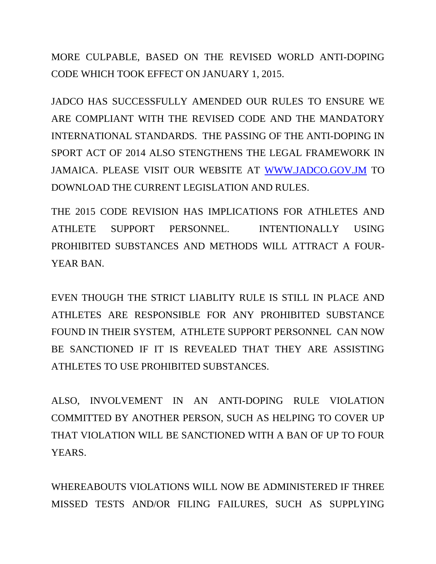MORE CULPABLE, BASED ON THE REVISED WORLD ANTI-DOPING CODE WHICH TOOK EFFECT ON JANUARY 1, 2015.

JADCO HAS SUCCESSFULLY AMENDED OUR RULES TO ENSURE WE ARE COMPLIANT WITH THE REVISED CODE AND THE MANDATORY INTERNATIONAL STANDARDS. THE PASSING OF THE ANTI-DOPING IN SPORT ACT OF 2014 ALSO STENGTHENS THE LEGAL FRAMEWORK IN JAMAICA. PLEASE VISIT OUR WEBSITE AT [WWW.JADCO.GOV.JM](http://www.jadco.gov.jm/) TO DOWNLOAD THE CURRENT LEGISLATION AND RULES.

THE 2015 CODE REVISION HAS IMPLICATIONS FOR ATHLETES AND ATHLETE SUPPORT PERSONNEL. INTENTIONALLY USING PROHIBITED SUBSTANCES AND METHODS WILL ATTRACT A FOUR-YEAR BAN.

EVEN THOUGH THE STRICT LIABLITY RULE IS STILL IN PLACE AND ATHLETES ARE RESPONSIBLE FOR ANY PROHIBITED SUBSTANCE FOUND IN THEIR SYSTEM, ATHLETE SUPPORT PERSONNEL CAN NOW BE SANCTIONED IF IT IS REVEALED THAT THEY ARE ASSISTING ATHLETES TO USE PROHIBITED SUBSTANCES.

ALSO, INVOLVEMENT IN AN ANTI-DOPING RULE VIOLATION COMMITTED BY ANOTHER PERSON, SUCH AS HELPING TO COVER UP THAT VIOLATION WILL BE SANCTIONED WITH A BAN OF UP TO FOUR YEARS.

WHEREABOUTS VIOLATIONS WILL NOW BE ADMINISTERED IF THREE MISSED TESTS AND/OR FILING FAILURES, SUCH AS SUPPLYING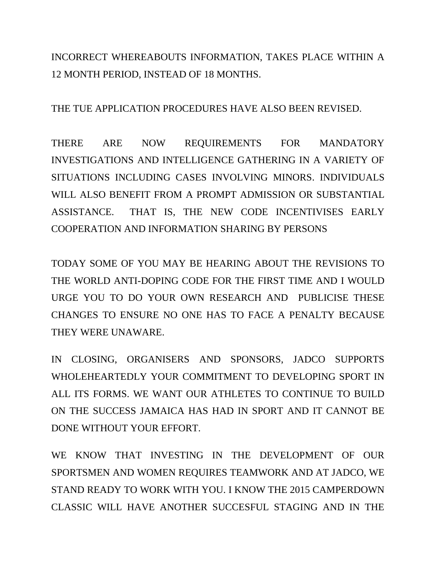INCORRECT WHEREABOUTS INFORMATION, TAKES PLACE WITHIN A 12 MONTH PERIOD, INSTEAD OF 18 MONTHS.

THE TUE APPLICATION PROCEDURES HAVE ALSO BEEN REVISED.

THERE ARE NOW REQUIREMENTS FOR MANDATORY INVESTIGATIONS AND INTELLIGENCE GATHERING IN A VARIETY OF SITUATIONS INCLUDING CASES INVOLVING MINORS. INDIVIDUALS WILL ALSO BENEFIT FROM A PROMPT ADMISSION OR SUBSTANTIAL ASSISTANCE. THAT IS, THE NEW CODE INCENTIVISES EARLY COOPERATION AND INFORMATION SHARING BY PERSONS

TODAY SOME OF YOU MAY BE HEARING ABOUT THE REVISIONS TO THE WORLD ANTI-DOPING CODE FOR THE FIRST TIME AND I WOULD URGE YOU TO DO YOUR OWN RESEARCH AND PUBLICISE THESE CHANGES TO ENSURE NO ONE HAS TO FACE A PENALTY BECAUSE THEY WERE UNAWARE.

IN CLOSING, ORGANISERS AND SPONSORS, JADCO SUPPORTS WHOLEHEARTEDLY YOUR COMMITMENT TO DEVELOPING SPORT IN ALL ITS FORMS. WE WANT OUR ATHLETES TO CONTINUE TO BUILD ON THE SUCCESS JAMAICA HAS HAD IN SPORT AND IT CANNOT BE DONE WITHOUT YOUR EFFORT.

WE KNOW THAT INVESTING IN THE DEVELOPMENT OF OUR SPORTSMEN AND WOMEN REQUIRES TEAMWORK AND AT JADCO, WE STAND READY TO WORK WITH YOU. I KNOW THE 2015 CAMPERDOWN CLASSIC WILL HAVE ANOTHER SUCCESFUL STAGING AND IN THE